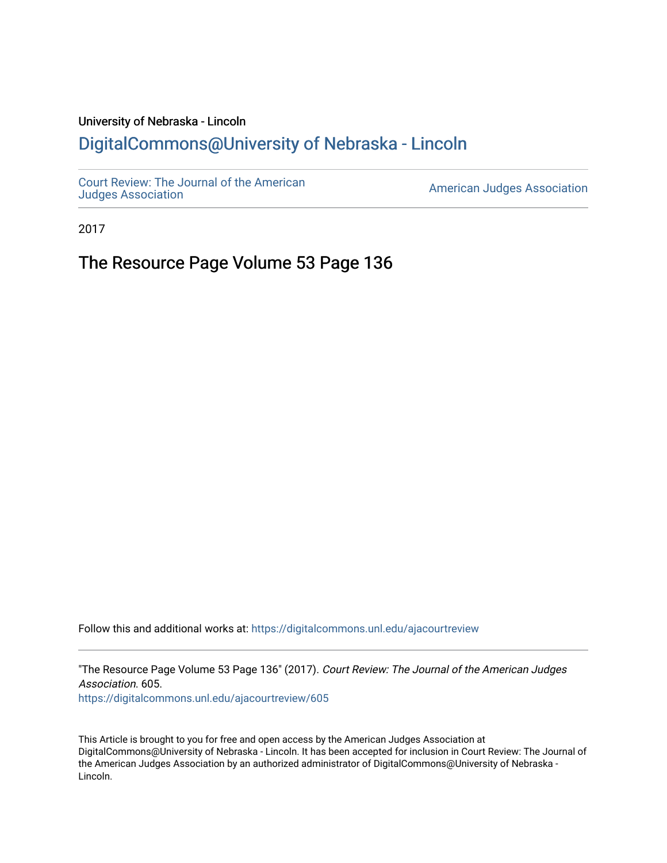## University of Nebraska - Lincoln [DigitalCommons@University of Nebraska - Lincoln](https://digitalcommons.unl.edu/)

[Court Review: The Journal of the American](https://digitalcommons.unl.edu/ajacourtreview)

[Judges Association](https://digitalcommons.unl.edu/ajacourtreview) [American Judges Association](https://digitalcommons.unl.edu/amjudgesassn) 

2017

The Resource Page Volume 53 Page 136

Follow this and additional works at: [https://digitalcommons.unl.edu/ajacourtreview](https://digitalcommons.unl.edu/ajacourtreview?utm_source=digitalcommons.unl.edu%2Fajacourtreview%2F605&utm_medium=PDF&utm_campaign=PDFCoverPages) 

"The Resource Page Volume 53 Page 136" (2017). Court Review: The Journal of the American Judges Association. 605. [https://digitalcommons.unl.edu/ajacourtreview/605](https://digitalcommons.unl.edu/ajacourtreview/605?utm_source=digitalcommons.unl.edu%2Fajacourtreview%2F605&utm_medium=PDF&utm_campaign=PDFCoverPages) 

This Article is brought to you for free and open access by the American Judges Association at DigitalCommons@University of Nebraska - Lincoln. It has been accepted for inclusion in Court Review: The Journal of the American Judges Association by an authorized administrator of DigitalCommons@University of Nebraska -Lincoln.